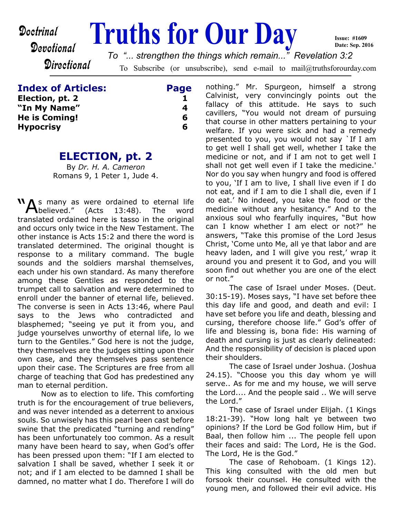**Doctrinal Truths for Our Day** 

# Devotional

To Subscribe (or unsubscribe), send e-mail to mail@truthsforourday.com *To "... strengthen the things which remain..." Revelation 3:2*

**Index of Articles: Page**

**Directional** 

**Election, pt. 2** 1 **"In My Name" 4 He is Coming! 6 Hypocrisy 6**

#### **ELECTION, pt. 2**

By *Dr. H. A. Cameron* Romans 9, 1 Peter 1, Jude 4.

**NA**s many as were ordained to eternal life<br>
believed." (Acts 13:48). The word translated ordained here is tasso in the original and occurs only twice in the New Testament. The other instance is Acts 15:2 and there the word is translated determined. The original thought is response to a military command. The bugle sounds and the soldiers marshal themselves, each under his own standard. As many therefore among these Gentiles as responded to the trumpet call to salvation and were determined to enroll under the banner of eternal life, believed. The converse is seen in Acts 13:46, where Paul says to the Jews who contradicted and blasphemed; "seeing ye put it from you, and judge yourselves unworthy of eternal life, lo we turn to the Gentiles." God here is not the judge, they themselves are the judges sitting upon their own case, and they themselves pass sentence upon their case. The Scriptures are free from all charge of teaching that God has predestined any man to eternal perdition.

 Now as to election to life. This comforting truth is for the encouragement of true believers, and was never intended as a deterrent to anxious souls. So unwisely has this pearl been cast before swine that the predicated "turning and rending" has been unfortunately too common. As a result many have been heard to say, when God's offer has been pressed upon them: "If I am elected to salvation I shall be saved, whether I seek it or not; and if I am elected to be damned I shall be damned, no matter what I do. Therefore I will do nothing." Mr. Spurgeon, himself a strong Calvinist, very convincingly points out the fallacy of this attitude. He says to such cavillers, "You would not dream of pursuing that course in other matters pertaining to your welfare. If you were sick and had a remedy presented to you, you would not say `If I am to get well I shall get well, whether I take the medicine or not, and if I am not to get well I shall not get well even if I take the medicine.' Nor do you say when hungry and food is offered to you, 'If I am to live, I shall live even if I do not eat, and if I am to die I shall die, even if I do eat.' No indeed, you take the food or the medicine without any hesitancy." And to the anxious soul who fearfully inquires, "But how can I know whether I am elect or not?" he answers, "Take this promise of the Lord Jesus Christ, 'Come unto Me, all ye that labor and are heavy laden, and I will give you rest,' wrap it around you and present it to God, and you will soon find out whether you are one of the elect or not."

**Issue: #1609 Date: Sep. 2016**

 The case of Israel under Moses. (Deut. 30:15-19). Moses says, "I have set before thee this day life and good, and death and evil: I have set before you life and death, blessing and cursing, therefore choose life." God's offer of life and blessing is, bona fide: His warning of death and cursing is just as clearly delineated: And the responsibility of decision is placed upon their shoulders.

 The case of Israel under Joshua. (Joshua 24.15). "Choose you this day whom ye will serve.. As for me and my house, we will serve the Lord.... And the people said .. We will serve the Lord."

 The case of Israel under Elijah. (1 Kings 18:21-39). "How long halt ye between two opinions? If the Lord be God follow Him, but if Baal, then follow him ... The people fell upon their faces and said: The Lord, He is the God. The Lord, He is the God."

 The case of Rehoboam. (1 Kings 12). This king consulted with the old men but forsook their counsel. He consulted with the young men, and followed their evil advice. His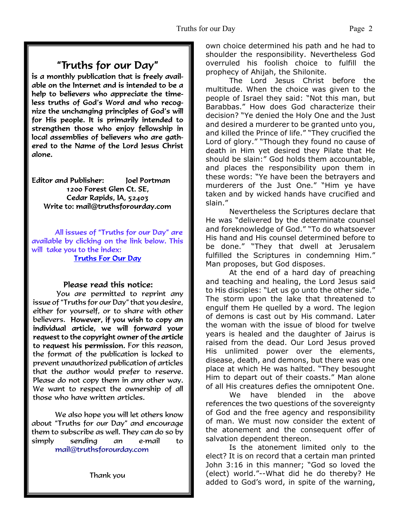# "Truths for our Day"

is a monthly publication that is freely available on the Internet and is intended to be a help to believers who appreciate the timeless truths of God's Word and who recognize the unchanging principles of God's will for His people. It is primarily intended to strengthen those who enjoy fellowship in local assemblies of believers who are gathered to the Name of the Lord Jesus Christ alone.

**Editor and Publisher:** Joel Portman 1200 Forest Glen Ct. SE, Cedar Rapids, IA, 52403 Write to: mail@truthsforourday.com

All issues of "Truths for our Day" are available by clicking on the link below. This will take you to the index: **Truths For Our Day** 

#### Please read this notice:

You are permitted to reprint any issue of "Truths for our Day" that you desire, either for yourself, or to share with other believers. However, if you wish to copy an<br>individual article, we will forward your request to the copyright owner of the article to request his permission. For this reason, the format of the publication is locked to prevent unauthorized publication of articles that the author would prefer to reserve. Please do not copy them in any other way. We want to respect the ownership of all those who have written articles.

 We also hope you will let others know about "Truths for our Day" and encourage them to subscribe as well. They can do so by simply sending an e-mail to mail@truthsforourday.com

own choice determined his path and he had to shoulder the responsibility. Nevertheless God overruled his foolish choice to fulfill the prophecy of Ahijah, the Shilonite.

 The Lord Jesus Christ before the multitude. When the choice was given to the people of Israel they said: "Not this man, but Barabbas." How does God characterize their decision? "Ye denied the Holy One and the Just and desired a murderer to be granted unto you, and killed the Prince of life." "They crucified the Lord of glory." "Though they found no cause of death in Him yet desired they Pilate that He should be slain:" God holds them accountable, and places the responsibility upon them in these words: "Ye have been the betrayers and murderers of the Just One." "Him ye have taken and by wicked hands have crucified and slain."

 Nevertheless the Scriptures declare that He was "delivered by the determinate counsel and foreknowledge of God." "To do whatsoever His hand and His counsel determined before to be done." "They that dwell at Jerusalem fulfilled the Scriptures in condemning Him." Man proposes, but God disposes.

 At the end of a hard day of preaching and teaching and healing, the Lord Jesus said to His disciples: "Let us go unto the other side." The storm upon the lake that threatened to engulf them He quelled by a word. The legion of demons is cast out by His command. Later the woman with the issue of blood for twelve years is healed and the daughter of Jairus is raised from the dead. Our Lord Jesus proved His unlimited power over the elements, disease, death, and demons, but there was one place at which He was halted. "They besought Him to depart out of their coasts." Man alone of all His creatures defies the omnipotent One.

 We have blended in the above references the two questions of the sovereignty of God and the free agency and responsibility of man. We must now consider the extent of the atonement and the consequent offer of salvation dependent thereon.

 Is the atonement limited only to the elect? It is on record that a certain man printed John 3:16 in this manner; "God so loved the (elect) world."--What did he do thereby? He added to God's word, in spite of the warning,

Thank you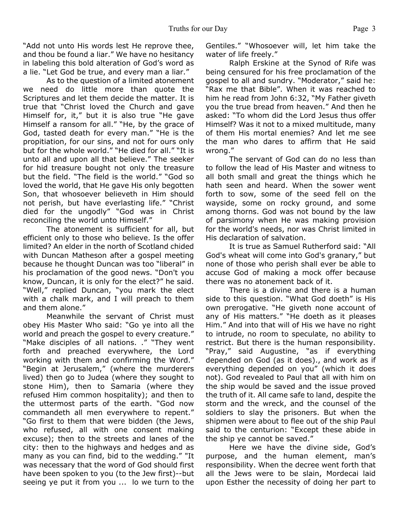"Add not unto His words lest He reprove thee, and thou be found a liar." We have no hesitancy in labeling this bold alteration of God's word as a lie. "Let God be true, and every man a liar."

 As to the question of a limited atonement we need do little more than quote the Scriptures and let them decide the matter. It is true that "Christ loved the Church and gave Himself for, it," but it is also true "He gave Himself a ransom for all." "He, by the grace of God, tasted death for every man." "He is the propitiation, for our sins, and not for ours only but for the whole world." "He died for all." "It is unto all and upon all that believe." The seeker for hid treasure bought not only the treasure but the field. "The field is the world." "God so loved the world, that He gave His only begotten Son, that whosoever believeth in Him should not perish, but have everlasting life." "Christ died for the ungodly" "God was in Christ reconciling the world unto Himself."

 The atonement is sufficient for all, but efficient only to those who believe. Is the offer limited? An elder in the north of Scotland chided with Duncan Matheson after a gospel meeting because he thought Duncan was too "liberal" in his proclamation of the good news. "Don't you know, Duncan, it is only for the elect?" he said. "Well," replied Duncan, "you mark the elect with a chalk mark, and I will preach to them and them alone."

 Meanwhile the servant of Christ must obey His Master Who said: "Go ye into all the world and preach the gospel to every creature." "Make disciples of all nations. ." "They went forth and preached everywhere, the Lord working with them and confirming the Word." "Begin at Jerusalem," (where the murderers lived) then go to Judea (where they sought to stone Him), then to Samaria (where they refused Him common hospitality); and then to the uttermost parts of the earth. "God now commandeth all men everywhere to repent." "Go first to them that were bidden (the Jews, who refused, all with one consent making excuse); then to the streets and lanes of the city: then to the highways and hedges and as many as you can find, bid to the wedding." "It was necessary that the word of God should first have been spoken to you (to the Jew first)--but seeing ye put it from you ... lo we turn to the

Gentiles." "Whosoever will, let him take the water of life freely."

 Ralph Erskine at the Synod of Rife was being censured for his free proclamation of the gospel to all and sundry. "Moderator," said he: "Rax me that Bible". When it was reached to him he read from John 6:32, "My Father giveth you the true bread from heaven." And then he asked: "To whom did the Lord Jesus thus offer Himself? Was it not to a mixed multitude, many of them His mortal enemies? And let me see the man who dares to affirm that He said wrong."

 The servant of God can do no less than to follow the lead of His Master and witness to all both small and great the things which he hath seen and heard. When the sower went forth to sow, some of the seed fell on the wayside, some on rocky ground, and some among thorns. God was not bound by the law of parsimony when He was making provision for the world's needs, nor was Christ limited in His declaration of salvation.

 It is true as Samuel Rutherford said: "All God's wheat will come into God's granary," but none of those who perish shall ever be able to accuse God of making a mock offer because there was no atonement back of it.

 There is a divine and there is a human side to this question. "What God doeth" is His own prerogative. "He giveth none account of any of His matters." "He doeth as it pleases Him." And into that will of His we have no right to intrude, no room to speculate, no ability to restrict. But there is the human responsibility. "Pray," said Augustine, "as if everything depended on God (as it does)., and work as if everything depended on you" (which it does not). God revealed to Paul that all with him on the ship would be saved and the issue proved the truth of it. All came safe to land, despite the storm and the wreck, and the counsel of the soldiers to slay the prisoners. But when the shipmen were about to flee out of the ship Paul said to the centurion: "Except these abide in the ship ye cannot be saved."

 Here we have the divine side, God's purpose, and the human element, man's responsibility. When the decree went forth that all the Jews were to be slain, Mordecai laid upon Esther the necessity of doing her part to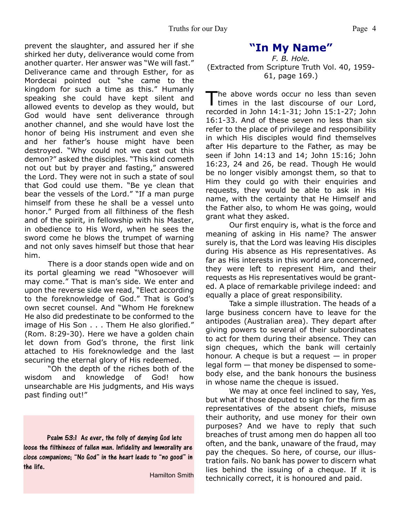prevent the slaughter, and assured her if she shirked her duty, deliverance would come from another quarter. Her answer was "We will fast." Deliverance came and through Esther, for as Mordecai pointed out "she came to the kingdom for such a time as this." Humanly speaking she could have kept silent and allowed events to develop as they would, but God would have sent deliverance through another channel, and she would have lost the honor of being His instrument and even she and her father's house might have been destroyed. "Why could not we cast out this demon?" asked the disciples. "This kind cometh not out but by prayer and fasting," answered the Lord. They were not in such a state of soul that God could use them. "Be ye clean that bear the vessels of the Lord." "If a man purge himself from these he shall be a vessel unto honor." Purged from all filthiness of the flesh and of the spirit, in fellowship with his Master, in obedience to His Word, when he sees the sword come he blows the trumpet of warning and not only saves himself but those that hear

 There is a door stands open wide and on its portal gleaming we read "Whosoever will may come." That is man's side. We enter and upon the reverse side we read, "Elect according to the foreknowledge of God." That is God's own secret counsel. And "Whom He foreknew He also did predestinate to be conformed to the image of His Son . . . Them He also glorified." (Rom. 8:29-30). Here we have a golden chain let down from God's throne, the first link attached to His foreknowledge and the last securing the eternal glory of His redeemed.

him.

 "Oh the depth of the riches both of the wisdom and knowledge of God! how unsearchable are His judgments, and His ways past finding out!"

Psalm 53:1 As ever, the folly of denying God lets loose the filthiness of fallen man. Infidelity and Immorality are close companions; "No God" in the heart leads to "no good" in the life.

Hamilton Smith

#### **"In My Name"**

*F. B. Hole.* (Extracted from Scripture Truth Vol. 40, 1959- 61, page 169.)

T he above words occur no less than seven times in the last discourse of our Lord, recorded in John 14:1-31; John 15:1-27; John 16:1-33. And of these seven no less than six refer to the place of privilege and responsibility in which His disciples would find themselves after His departure to the Father, as may be seen if John 14:13 and 14; John 15:16; John 16:23, 24 and 26, be read. Though He would be no longer visibly amongst them, so that to Him they could go with their enquiries and requests, they would be able to ask in His name, with the certainty that He Himself and the Father also, to whom He was going, would grant what they asked.

 Our first enquiry is, what is the force and meaning of asking in His name? The answer surely is, that the Lord was leaving His disciples during His absence as His representatives. As far as His interests in this world are concerned, they were left to represent Him, and their requests as His representatives would be granted. A place of remarkable privilege indeed: and equally a place of great responsibility.

 Take a simple illustration. The heads of a large business concern have to leave for the antipodes (Australian area). They depart after giving powers to several of their subordinates to act for them during their absence. They can sign cheques, which the bank will certainly honour. A cheque is but a request  $-$  in proper legal form — that money be dispensed to somebody else, and the bank honours the business in whose name the cheque is issued.

 We may at once feel inclined to say, Yes, but what if those deputed to sign for the firm as representatives of the absent chiefs, misuse their authority, and use money for their own purposes? And we have to reply that such breaches of trust among men do happen all too often, and the bank, unaware of the fraud, may pay the cheques. So here, of course, our illustration fails. No bank has power to discern what lies behind the issuing of a cheque. If it is technically correct, it is honoured and paid.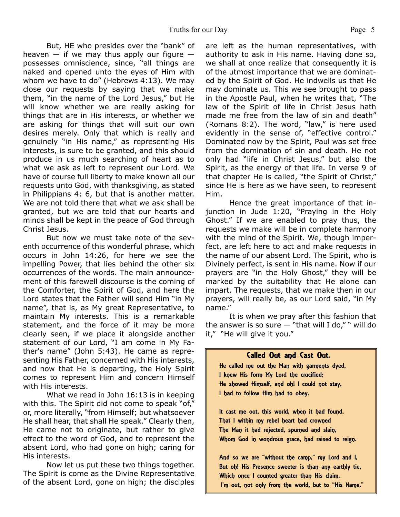But, HE who presides over the "bank" of heaven  $-$  if we may thus apply our figure  $$ possesses omniscience, since, "all things are naked and opened unto the eyes of Him with whom we have to do" (Hebrews 4:13). We may close our requests by saying that we make them, "in the name of the Lord Jesus," but He will know whether we are really asking for things that are in His interests, or whether we are asking for things that will suit our own desires merely. Only that which is really and genuinely "in His name," as representing His interests, is sure to be granted, and this should produce in us much searching of heart as to what we ask as left to represent our Lord. We have of course full liberty to make known all our requests unto God, with thanksgiving, as stated in Philippians 4: 6, but that is another matter. We are not told there that what we ask shall be granted, but we are told that our hearts and minds shall be kept in the peace of God through Christ Jesus.

 But now we must take note of the seventh occurrence of this wonderful phrase, which occurs in John 14:26, for here we see the impelling Power, that lies behind the other six occurrences of the words. The main announcement of this farewell discourse is the coming of the Comforter, the Spirit of God, and here the Lord states that the Father will send Him "in My name", that is, as My great Representative, to maintain My interests. This is a remarkable statement, and the force of it may be more clearly seen, if we place it alongside another statement of our Lord, "I am come in My Father's name" (John 5:43). He came as representing His Father, concerned with His interests, and now that He is departing, the Holy Spirit comes to represent Him and concern Himself with His interests.

 What we read in John 16:13 is in keeping with this. The Spirit did not come to speak "of," or, more literally, "from Himself; but whatsoever He shall hear, that shall He speak." Clearly then, He came not to originate, but rather to give effect to the word of God, and to represent the absent Lord, who had gone on high; caring for His interests.

 Now let us put these two things together. The Spirit is come as the Divine Representative of the absent Lord, gone on high; the disciples are left as the human representatives, with authority to ask in His name. Having done so, we shall at once realize that consequently it is of the utmost importance that we are dominated by the Spirit of God. He indwells us that He may dominate us. This we see brought to pass in the Apostle Paul, when he writes that, "The law of the Spirit of life in Christ Jesus hath made me free from the law of sin and death" (Romans 8:2). The word, "law," is here used evidently in the sense of, "effective control." Dominated now by the Spirit, Paul was set free from the domination of sin and death. He not only had "life in Christ Jesus," but also the Spirit, as the energy of that life. In verse 9 of that chapter He is called, "the Spirit of Christ," since He is here as we have seen, to represent Him.

 Hence the great importance of that injunction in Jude 1:20, "Praying in the Holy Ghost." If we are enabled to pray thus, the requests we make will be in complete harmony with the mind of the Spirit. We, though imperfect, are left here to act and make requests in the name of our absent Lord. The Spirit, who is Divinely perfect, is sent in His name. Now if our prayers are "in the Holy Ghost," they will be marked by the suitability that He alone can impart. The requests, that we make then in our prayers, will really be, as our Lord said, "in My name."

 It is when we pray after this fashion that the answer is so sure  $-$  "that will I do," " will do it," "He will give it you."

#### **Called Out and Cast Out.**

He called me out the Man with garments dyed, I knew His form My Lord the crucified; He showed Himself, and oh! I could not stay, I had to follow Him had to obey.

It cast me out, this world, when it had found, That I within my rebel heart had crowned The Man it had rejected, spurned and slain, Whom God in wondrous grace, had raised to reign.

And so we are "without the camp," my Lord and I, But oh! His Presence sweeter is than any earthly tie, Which once I counted greater than His claim. I'm out, not only from the world, but to "His Name."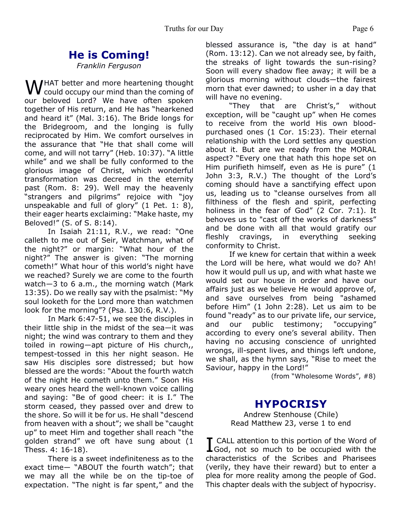# **He is Coming!**

*Franklin Ferguson*

WHAT better and more heartening thought<br>
could occupy our mind than the coming of our beloved Lord? We have often spoken together of His return, and He has "hearkened and heard it" (Mal. 3:16). The Bride longs for the Bridegroom, and the longing is fully reciprocated by Him. We comfort ourselves in the assurance that "He that shall come will come, and will not tarry" (Heb. 10:37). "A little while" and we shall be fully conformed to the glorious image of Christ, which wonderful transformation was decreed in the eternity past (Rom. 8: 29). Well may the heavenly "strangers and pilgrims" rejoice with "joy unspeakable and full of glory" (1 Pet. 1: 8), their eager hearts exclaiming: "Make haste, my Beloved!" (S. of S. 8:14).

In Isaiah 21:11, R.V., we read: "One calleth to me out of Seir, Watchman, what of the night?" or margin: "What hour of the night?" The answer is given: "The morning cometh!" What hour of this world's night have we reached? Surely we are come to the fourth watch―3 to 6 a.m., the morning watch (Mark 13:35). Do we really say with the psalmist: "My soul looketh for the Lord more than watchmen look for the morning"? (Psa. 130:6, R.V.).

In Mark 6:47-51, we see the disciples in their little ship in the midst of the sea―it was night; the wind was contrary to them and they toiled in rowing―apt picture of His church,, tempest-tossed in this her night season. He saw His disciples sore distressed; but how blessed are the words: "About the fourth watch of the night He cometh unto them." Soon His weary ones heard the well-known voice calling and saying: "Be of good cheer: it is I." The storm ceased, they passed over and drew to the shore. So will it be for us. He shall "descend from heaven with a shout"; we shall be "caught up" to meet Him and together shall reach "the golden strand" we oft have sung about (1 Thess. 4: 16-18).

There is a sweet indefiniteness as to the exact time― "ABOUT the fourth watch"; that we may all the while be on the tip-toe of expectation. "The night is far spent," and the blessed assurance is, "the day is at hand" (Rom. 13:12). Can we not already see, by faith, the streaks of light towards the sun-rising? Soon will every shadow flee away; it will be a glorious morning without clouds―the fairest morn that ever dawned; to usher in a day that will have no evening.

"They that are Christ's," without exception, will be "caught up" when He comes to receive from the world His own bloodpurchased ones (1 Cor. 15:23). Their eternal relationship with the Lord settles any question about it. But are we ready from the MORAL aspect? "Every one that hath this hope set on Him purifieth himself, even as He is pure" (1 John 3:3, R.V.) The thought of the Lord's coming should have a sanctifying effect upon us, leading us to "cleanse ourselves from all filthiness of the flesh and spirit, perfecting holiness in the fear of God" (2 Cor. 7:1). It behoves us to "cast off the works of darkness" and be done with all that would gratify our fleshly cravings, in everything seeking conformity to Christ.

If we knew for certain that within a week the Lord will be here, what would we do? Ah! how it would pull us up, and with what haste we would set our house in order and have our affairs just as we believe He would approve of, and save ourselves from being "ashamed before Him" (1 John 2:28). Let us aim to be found "ready" as to our private life, our service, and our public testimony; "occupying" according to every one's several ability. Then having no accusing conscience of unrighted wrongs, ill-spent lives, and things left undone, we shall, as the hymn says, "Rise to meet the Saviour, happy in the Lord!"

(from "Wholesome Words", #8)

### **HYPOCRISY**

Andrew Stenhouse (Chile) Read Matthew 23, verse 1 to end

I God, not so much to be occupied with the CALL attention to this portion of the Word of characteristics of the Scribes and Pharisees (verily, they have their reward) but to enter a plea for more reality among the people of God. This chapter deals with the subject of hypocrisy.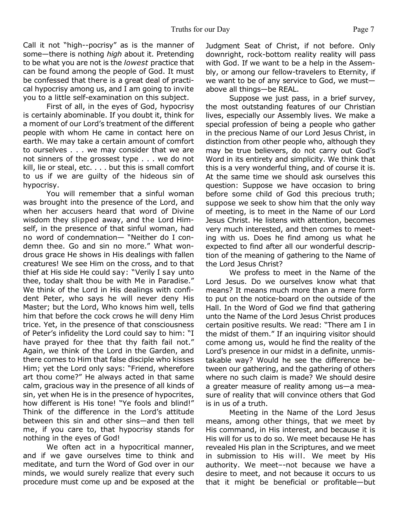Call it not "high--pocrisy" as is the manner of some—there is nothing *high* about it. Pretending to be what you are not is the *lowest* practice that can be found among the people of God. It must be confessed that there is a great deal of practical hypocrisy among us, and I am going to invite you to a little self-examination on this subject.

 First of all, in the eyes of God, hypocrisy is certainly abominable. If you doubt it, think for a moment of our Lord's treatment of the different people with whom He came in contact here on earth. We may take a certain amount of comfort to ourselves . . . we may consider that we are not sinners of the grossest type . . . we do not kill, lie or steal, etc. . . . but this is small comfort to us if we are guilty of the hideous sin of hypocrisy.

 You will remember that a sinful woman was brought into the presence of the Lord, and when her accusers heard that word of Divine wisdom they slipped away, and the Lord Himself, in the presence of that sinful woman, had no word of condemnation— "Neither do I condemn thee. Go and sin no more." What wondrous grace He shows in His dealings with fallen creatures! We see Him on the cross, and to that thief at His side He could say: "Verily I say unto thee, today shalt thou be with Me in Paradise." We think of the Lord in His dealings with confident Peter, who says he will never deny His Master; but the Lord, Who knows him well, tells him that before the cock crows he will deny Him trice. Yet, in the presence of that consciousness of Peter's infidelity the Lord could say to him: "I have prayed for thee that thy faith fail not." Again, we think of the Lord in the Garden, and there comes to Him that false disciple who kisses Him; yet the Lord only says: "Friend, wherefore art thou come?" He always acted in that same calm, gracious way in the presence of all kinds of sin, yet when He is in the presence of hypocrites, how different is His tone! "Ye fools and blind!" Think of the difference in the Lord's attitude between this sin and other sins—and then tell me, if you care to, that hypocrisy stands for nothing in the eyes of God!

We often act in a hypocritical manner, and if we gave ourselves time to think and meditate, and turn the Word of God over in our minds, we would surely realize that every such procedure must come up and be exposed at the Judgment Seat of Christ, if not before. Only downright, rock-bottom reality reality will pass with God. If we want to be a help in the Assembly, or among our fellow-travelers to Eternity, if we want to be of any service to God, we must above all things—be REAL.

 Suppose we just pass, in a brief survey, the most outstanding features of our Christian lives, especially our Assembly lives. We make a special profession of being a people who gather in the precious Name of our Lord Jesus Christ, in distinction from other people who, although they may be true believers, do not carry out God's Word in its entirety and simplicity. We think that this is a very wonderful thing, and of course it is. At the same time we should ask ourselves this question: Suppose we have occasion to bring before some child of God this precious truth; suppose we seek to show him that the only way of meeting, is to meet in the Name of our Lord Jesus Christ. He listens with attention, becomes very much interested, and then comes to meeting with us. Does he find among us what he expected to find after all our wonderful description of the meaning of gathering to the Name of the Lord Jesus Christ?

 We profess to meet in the Name of the Lord Jesus. Do we ourselves know what that means? It means much more than a mere form to put on the notice-board on the outside of the Hall. In the Word of God we find that gathering unto the Name of the Lord Jesus Christ produces certain positive results. We read: "There am I in the midst of them." If an inquiring visitor should come among us, would he find the reality of the Lord's presence in our midst in a definite, unmistakable way? Would he see the difference between our gathering, and the gathering of others where no such claim is made? We should desire a greater measure of reality among us—a measure of reality that will convince others that God is in us of a truth.

 Meeting in the Name of the Lord Jesus means, among other things, that we meet by His command, in His interest, and because it is His will for us to do so. We meet because He has revealed His plan in the Scriptures, and we meet in submission to His will. We meet by His authority. We meet–-not because we have a desire to meet, and not because it occurs to us that it might be beneficial or profitable—but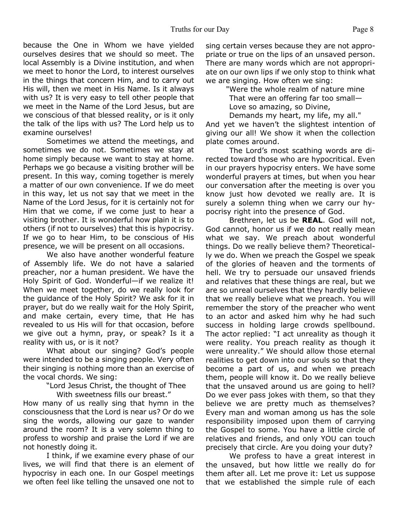because the One in Whom we have yielded ourselves desires that we should so meet. The local Assembly is a Divine institution, and when we meet to honor the Lord, to interest ourselves in the things that concern Him, and to carry out His will, then we meet in His Name. Is it always with us? It is very easy to tell other people that we meet in the Name of the Lord Jesus, but are we conscious of that blessed reality, or is it only the talk of the lips with us? The Lord help us to examine ourselves!

 Sometimes we attend the meetings, and sometimes we do not. Sometimes we stay at home simply because we want to stay at home. Perhaps we go because a visiting brother will be present. In this way, coming together is merely a matter of our own convenience. If we do meet in this way, let us not say that we meet in the Name of the Lord Jesus, for it is certainly not for Him that we come, if we come just to hear a visiting brother. It is wonderful how plain it is to others (if not to ourselves) that this is hypocrisy. If we go to hear Him, to be conscious of His presence, we will be present on all occasions.

We also have another wonderful feature of Assembly life. We do not have a salaried preacher, nor a human president. We have the Holy Spirit of God. Wonderful—if we realize it! When we meet together, do we really look for the guidance of the Holy Spirit? We ask for it in prayer, but do we really wait for the Holy Spirit, and make certain, every time, that He has revealed to us His will for that occasion, before we give out a hymn, pray, or speak? Is it a reality with us, or is it not?

 What about our singing? God's people were intended to be a singing people. Very often their singing is nothing more than an exercise of the vocal chords. We sing:

 "Lord Jesus Christ, the thought of Thee With sweetness fills our breast."

How many of us really sing that hymn in the consciousness that the Lord is near us? Or do we sing the words, allowing our gaze to wander around the room? It is a very solemn thing to profess to worship and praise the Lord if we are not honestly doing it.

I think, if we examine every phase of our lives, we will find that there is an element of hypocrisy in each one. In our Gospel meetings we often feel like telling the unsaved one not to sing certain verses because they are not appropriate or true on the lips of an unsaved person. There are many words which are not appropriate on our own lips if we only stop to think what we are singing. How often we sing:

> "Were the whole realm of nature mine That were an offering far too small— Love so amazing, so Divine,

Demands my heart, my life, my all." And yet we haven't the slightest intention of giving our all! We show it when the collection plate comes around.

 The Lord's most scathing words are directed toward those who are hypocritical. Even in our prayers hypocrisy enters. We have some wonderful prayers at times, but when you hear our conversation after the meeting is over you know just how devoted we really are. It is surely a solemn thing when we carry our hypocrisy right into the presence of God.

 Brethren, let us be **REAL**. God will not, God cannot, honor us if we do not really mean what we say. We preach about wonderful things. Do we really believe them? Theoretically we do. When we preach the Gospel we speak of the glories of heaven and the torments of hell. We try to persuade our unsaved friends and relatives that these things are real, but we are so unreal ourselves that they hardly believe that we really believe what we preach. You will remember the story of the preacher who went to an actor and asked him why he had such success in holding large crowds spellbound. The actor replied: "I act unreality as though it were reality. You preach reality as though it were unreality." We should allow those eternal realities to get down into our souls so that they become a part of us, and when we preach them, people will know it. Do we really believe that the unsaved around us are going to hell? Do we ever pass jokes with them, so that they believe we are pretty much as themselves? Every man and woman among us has the sole responsibility imposed upon them of carrying the Gospel to some. You have a little circle of relatives and friends, and only YOU can touch precisely that circle. Are you doing your duty?

We profess to have a great interest in the unsaved, but how little we really do for them after all. Let me prove it: Let us suppose that we established the simple rule of each